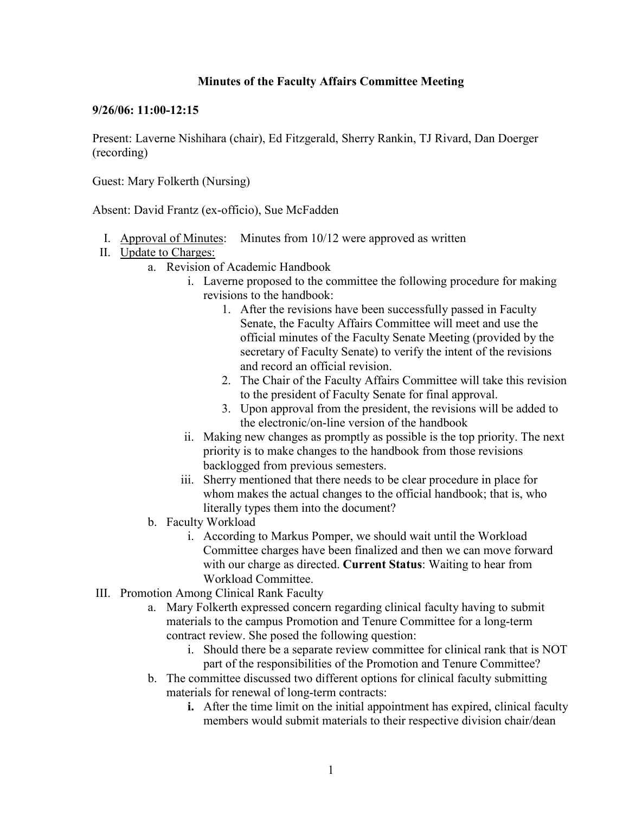## **Minutes of the Faculty Affairs Committee Meeting**

## **9/26/06: 11:00-12:15**

Present: Laverne Nishihara (chair), Ed Fitzgerald, Sherry Rankin, TJ Rivard, Dan Doerger (recording)

Guest: Mary Folkerth (Nursing)

Absent: David Frantz (ex-officio), Sue McFadden

- I. Approval of Minutes: Minutes from 10/12 were approved as written
- II. Update to Charges:
	- a. Revision of Academic Handbook
		- i. Laverne proposed to the committee the following procedure for making revisions to the handbook:
			- 1. After the revisions have been successfully passed in Faculty Senate, the Faculty Affairs Committee will meet and use the official minutes of the Faculty Senate Meeting (provided by the secretary of Faculty Senate) to verify the intent of the revisions and record an official revision.
			- 2. The Chair of the Faculty Affairs Committee will take this revision to the president of Faculty Senate for final approval.
			- 3. Upon approval from the president, the revisions will be added to the electronic/on-line version of the handbook
		- ii. Making new changes as promptly as possible is the top priority. The next priority is to make changes to the handbook from those revisions backlogged from previous semesters.
		- iii. Sherry mentioned that there needs to be clear procedure in place for whom makes the actual changes to the official handbook; that is, who literally types them into the document?
	- b. Faculty Workload
		- i. According to Markus Pomper, we should wait until the Workload Committee charges have been finalized and then we can move forward with our charge as directed. **Current Status**: Waiting to hear from Workload Committee.
- III. Promotion Among Clinical Rank Faculty
	- a. Mary Folkerth expressed concern regarding clinical faculty having to submit materials to the campus Promotion and Tenure Committee for a long-term contract review. She posed the following question:
		- i. Should there be a separate review committee for clinical rank that is NOT part of the responsibilities of the Promotion and Tenure Committee?
	- b. The committee discussed two different options for clinical faculty submitting materials for renewal of long-term contracts:
		- **i.** After the time limit on the initial appointment has expired, clinical faculty members would submit materials to their respective division chair/dean